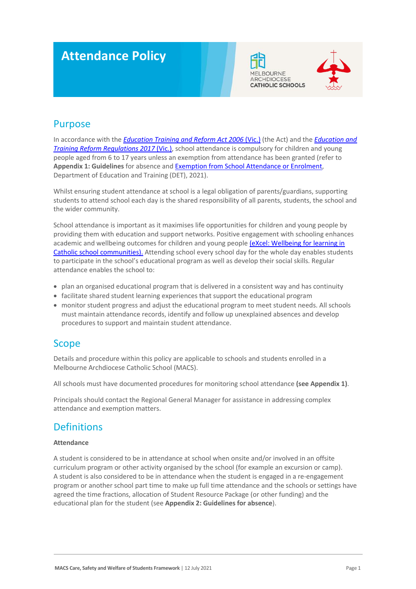# **Attendance Policy**





### Purpose

In accordance with the *[Education Training and Reform Act 2006](https://www.macs.vic.edu.au/CatholicEducationMelbourne/media/Documentation/Documents/eXcel-Wellbeing-for-learning_Guide_May-2018_CEM.pdf)* (Vic.) (the Act) and the *[Education and](https://www.education.vic.gov.au/about/department/legislation/Pages/act2006regs.aspx)  [Training Reform Regulations 2017](https://www.education.vic.gov.au/about/department/legislation/Pages/act2006regs.aspx)* (Vic.), school attendance is compulsory for children and young people aged from 6 to 17 years unless an exemption from attendance has been granted (refer to **Appendix 1: Guidelines** for absence an[d Exemption from School Attendance or Enrolment,](https://www2.education.vic.gov.au/pal/exemption-school-attendance-and-enrolment/policy) Department of Education and Training (DET), 2021).

Whilst ensuring student attendance at school is a legal obligation of parents/guardians, supporting students to attend school each day is the shared responsibility of all parents, students, the school and the wider community.

School attendance is important as it maximises life opportunities for children and young people by providing them with education and support networks. Positive engagement with schooling enhances academic and wellbeing outcomes for children and young peopl[e \(eXcel: Wellbeing for learning in](https://www.macs.vic.edu.au/CatholicEducationMelbourne/media/Documentation/Documents/eXcel-Wellbeing-for-learning_Guide_May-2018_CEM.pdf)  [Catholic school communities\).](https://www.macs.vic.edu.au/CatholicEducationMelbourne/media/Documentation/Documents/eXcel-Wellbeing-for-learning_Guide_May-2018_CEM.pdf) Attending school every school day for the whole day enables students to participate in the school's educational program as well as develop their social skills. Regular attendance enables the school to:

- plan an organised educational program that is delivered in a consistent way and has continuity
- facilitate shared student learning experiences that support the educational program
- monitor student progress and adjust the educational program to meet student needs. All schools must maintain attendance records, identify and follow up unexplained absences and develop procedures to support and maintain student attendance.

### Scope

Details and procedure within this policy are applicable to schools and students enrolled in a Melbourne Archdiocese Catholic School (MACS).

All schools must have documented procedures for monitoring school attendance **(see Appendix 1)**.

Principals should contact the Regional General Manager for assistance in addressing complex attendance and exemption matters.

### **Definitions**

#### **Attendance**

A student is considered to be in attendance at school when onsite and/or involved in an offsite curriculum program or other activity organised by the school (for example an excursion or camp). A student is also considered to be in attendance when the student is engaged in a re-engagement program or another school part time to make up full time attendance and the schools or settings have agreed the time fractions, allocation of Student Resource Package (or other funding) and the educational plan for the student (see **Appendix 2: Guidelines for absence**).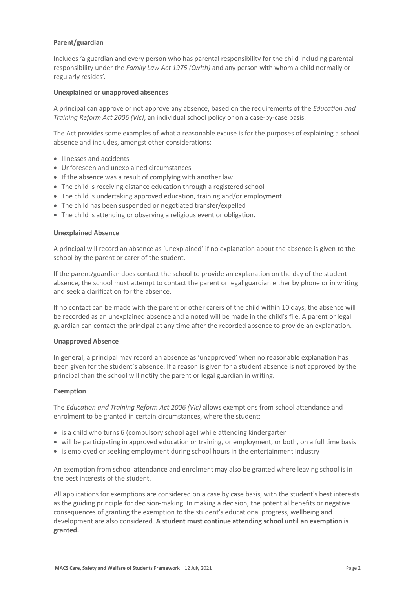#### **Parent/guardian**

Includes 'a guardian and every person who has parental responsibility for the child including parental responsibility under the *Family Law Act 1975 (Cwlth)* and any person with whom a child normally or regularly resides'.

#### **Unexplained or unapproved absences**

A principal can approve or not approve any absence, based on the requirements of the *Education and Training Reform Act 2006 (Vic)*, an individual school policy or on a case-by-case basis.

The Act provides some examples of what a reasonable excuse is for the purposes of explaining a school absence and includes, amongst other considerations:

- Illnesses and accidents
- Unforeseen and unexplained circumstances
- If the absence was a result of complying with another law
- The child is receiving distance education through a registered school
- The child is undertaking approved education, training and/or employment
- The child has been suspended or negotiated transfer/expelled
- The child is attending or observing a religious event or obligation.

#### **Unexplained Absence**

A principal will record an absence as 'unexplained' if no explanation about the absence is given to the school by the parent or carer of the student.

If the parent/guardian does contact the school to provide an explanation on the day of the student absence, the school must attempt to contact the parent or legal guardian either by phone or in writing and seek a clarification for the absence.

If no contact can be made with the parent or other carers of the child within 10 days, the absence will be recorded as an unexplained absence and a noted will be made in the child's file. A parent or legal guardian can contact the principal at any time after the recorded absence to provide an explanation.

#### **Unapproved Absence**

In general, a principal may record an absence as 'unapproved' when no reasonable explanation has been given for the student's absence. If a reason is given for a student absence is not approved by the principal than the school will notify the parent or legal guardian in writing.

#### **Exemption**

The *Education and Training Reform Act 2006 (Vic)* allows exemptions from school attendance and enrolment to be granted in certain circumstances, where the student:

- is a child who turns 6 (compulsory school age) while attending kindergarten
- will be participating in approved education or training, or employment, or both, on a full time basis
- is employed or seeking employment during school hours in the entertainment industry

An exemption from school attendance and enrolment may also be granted where leaving school is in the best interests of the student.

All applications for exemptions are considered on a case by case basis, with the student's best interests as the guiding principle for decision-making. In making a decision, the potential benefits or negative consequences of granting the exemption to the student's educational progress, wellbeing and development are also considered. **A student must continue attending school until an exemption is granted.**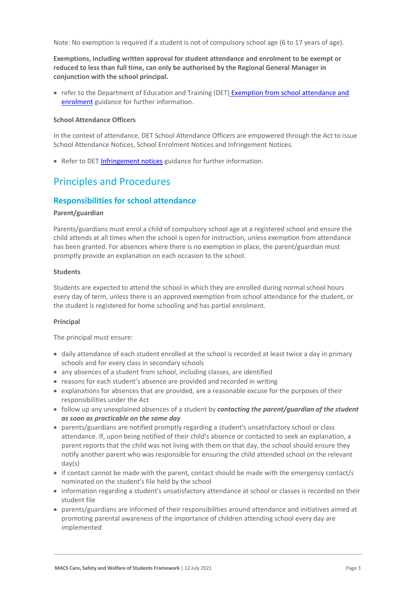Note: No exemption is required if a student is not of compulsory school age (6 to 17 years of age).

**Exemptions, including written approval for student attendance and enrolment to be exempt or reduced to less than full time, can only be authorised by the Regional General Manager in conjunction with the school principal.** 

• refer to the Department of Education and Training (DET) Exemption from school attendance and [enrolment](https://www2.education.vic.gov.au/pal/exemption-school-attendance-and-enrolment/guidance/1-exemption-categories) guidance for further information.

#### **School Attendance Officers**

In the context of attendance, DET School Attendance Officers are empowered through the Act to issue School Attendance Notices, School Enrolment Notices and Infringement Notices.

• Refer to DET [Infringement notices](https://www2.education.vic.gov.au/pal/attendance/guidance/10-infringement-notices) guidance for further information.

### Principles and Procedures

#### **Responsibilities for school attendance**

#### **Parent/guardian**

Parents/guardians must enrol a child of compulsory school age at a registered school and ensure the child attends at all times when the school is open for instruction, unless exemption from attendance has been granted. For absences where there is no exemption in place, the parent/guardian must promptly provide an explanation on each occasion to the school.

#### **Students**

Students are expected to attend the school in which they are enrolled during normal school hours every day of term, unless there is an approved exemption from school attendance for the student, or the student is registered for home schooling and has partial enrolment.

#### **Principal**

The principal must ensure:

- daily attendance of each student enrolled at the school is recorded at least twice a day in primary schools and for every class in secondary schools
- any absences of a student from school, including classes, are identified
- reasons for each student's absence are provided and recorded in writing
- explanations for absences that are provided, are a reasonable excuse for the purposes of their responsibilities under the Act
- follow up any unexplained absences of a student by *contacting the parent/guardian of the student as soon as practicable on the same day*
- parents/guardians are notified promptly regarding a student's unsatisfactory school or class attendance. If, upon being notified of their child's absence or contacted to seek an explanation, a parent reports that the child was not living with them on that day, the school should ensure they notify another parent who was responsible for ensuring the child attended school on the relevant day(s)
- if contact cannot be made with the parent, contact should be made with the emergency contact/s nominated on the student's file held by the school
- information regarding a student's unsatisfactory attendance at school or classes is recorded on their student file
- parents/guardians are informed of their responsibilities around attendance and initiatives aimed at promoting parental awareness of the importance of children attending school every day are implemented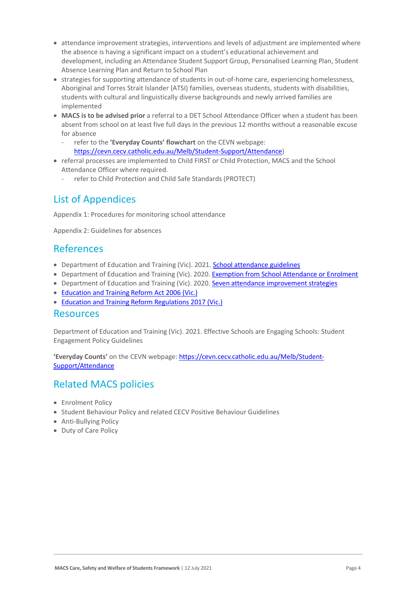- attendance improvement strategies, interventions and levels of adjustment are implemented where the absence is having a significant impact on a student's educational achievement and development, including an Attendance Student Support Group, Personalised Learning Plan, Student Absence Learning Plan and Return to School Plan
- strategies for supporting attendance of students in out-of-home care, experiencing homelessness, Aboriginal and Torres Strait Islander (ATSI) families, overseas students, students with disabilities, students with cultural and linguistically diverse backgrounds and newly arrived families are implemented
- **MACS is to be advised prior** a referral to a DET School Attendance Officer when a student has been absent from school on at least five full days in the previous 12 months without a reasonable excuse for absence
	- refer to the **'Everyday Counts' flowchart** on the CEVN webpage: [https://cevn.cecv.catholic.edu.au/Melb/Student-Support/Attendance\)](https://cevn.cecv.catholic.edu.au/Melb/Student-Support/Attendance)
- referral processes are implemented to Child FIRST or Child Protection, MACS and the School Attendance Officer where required.
	- refer to Child Protection and Child Safe Standards (PROTECT)

## List of Appendices

Appendix 1: Procedures for monitoring school attendance

Appendix 2: Guidelines for absences

### References

- Department of Education and Training (Vic). 2021[. School attendance guidelines](https://www2.education.vic.gov.au/pal/attendance/guidance)
- Department of Education and Training (Vic). 2020. [Exemption from School Attendance or Enrolment](https://www2.education.vic.gov.au/pal/exemption-school-attendance-and-enrolment/policy)
- Department of Education and Training (Vic). 2020. [Seven attendance improvement strategies](https://www2.education.vic.gov.au/pal/attendance/guidance/7-attendance-improvement-strategies)
- [Education and Training Reform Act 2006 \(Vic.\)](https://www.legislation.vic.gov.au/in-force/acts/education-and-training-reform-act-2006/083)
- [Education and Training Reform Regulations 2017 \(Vic.\)](https://www.education.vic.gov.au/about/department/legislation/Pages/act2006regs.aspx)

### Resources

Department of Education and Training (Vic). 2021. Effective Schools are Engaging Schools: Student Engagement Policy Guidelines

**'Everyday Counts'** on the CEVN webpage: [https://cevn.cecv.catholic.edu.au/Melb/Student-](https://cevn.cecv.catholic.edu.au/Melb/Student-Support/Attendance)[Support/Attendance](https://cevn.cecv.catholic.edu.au/Melb/Student-Support/Attendance)

### Related MACS policies

- Enrolment Policy
- Student Behaviour Policy and related CECV Positive Behaviour Guidelines
- Anti-Bullying Policy
- Duty of Care Policy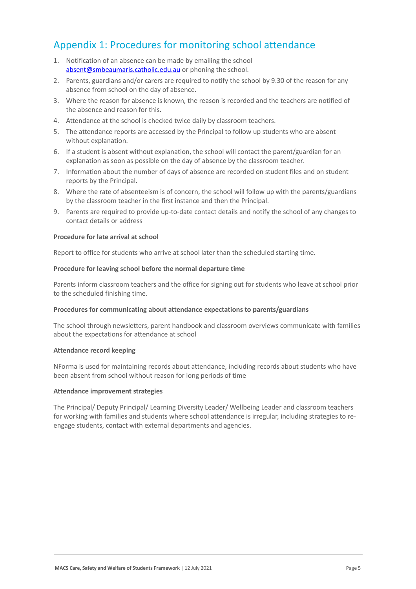## Appendix 1: Procedures for monitoring school attendance

- 1. Notification of an absence can be made by emailing the school [absent@smbeaumaris.catholic.edu.au](mailto:absent@smbeaumaris.catholic.edu.au) or phoning the school.
- 2. Parents, guardians and/or carers are required to notify the school by 9.30 of the reason for any absence from school on the day of absence.
- 3. Where the reason for absence is known, the reason is recorded and the teachers are notified of the absence and reason for this.
- 4. Attendance at the school is checked twice daily by classroom teachers.
- 5. The attendance reports are accessed by the Principal to follow up students who are absent without explanation.
- 6. If a student is absent without explanation, the school will contact the parent/guardian for an explanation as soon as possible on the day of absence by the classroom teacher.
- 7. Information about the number of days of absence are recorded on student files and on student reports by the Principal.
- 8. Where the rate of absenteeism is of concern, the school will follow up with the parents/guardians by the classroom teacher in the first instance and then the Principal.
- 9. Parents are required to provide up-to-date contact details and notify the school of any changes to contact details or address

#### **Procedure for late arrival at school**

Report to office for students who arrive at school later than the scheduled starting time.

#### **Procedure for leaving school before the normal departure time**

Parents inform classroom teachers and the office for signing out for students who leave at school prior to the scheduled finishing time.

#### **Procedures for communicating about attendance expectations to parents/guardians**

The school through newsletters, parent handbook and classroom overviews communicate with families about the expectations for attendance at school

#### **Attendance record keeping**

NForma is used for maintaining records about attendance, including records about students who have been absent from school without reason for long periods of time

#### **Attendance improvement strategies**

The Principal/ Deputy Principal/ Learning Diversity Leader/ Wellbeing Leader and classroom teachers for working with families and students where school attendance is irregular, including strategies to reengage students, contact with external departments and agencies.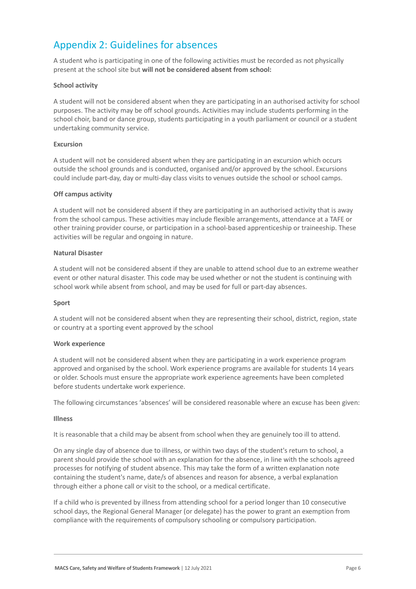## Appendix 2: Guidelines for absences

A student who is participating in one of the following activities must be recorded as not physically present at the school site but **will not be considered absent from school:**

#### **School activity**

A student will not be considered absent when they are participating in an authorised activity for school purposes. The activity may be off school grounds. Activities may include students performing in the school choir, band or dance group, students participating in a youth parliament or council or a student undertaking community service.

#### **Excursion**

A student will not be considered absent when they are participating in an excursion which occurs outside the school grounds and is conducted, organised and/or approved by the school. Excursions could include part-day, day or multi-day class visits to venues outside the school or school camps.

#### **Off campus activity**

A student will not be considered absent if they are participating in an authorised activity that is away from the school campus. These activities may include flexible arrangements, attendance at a TAFE or other training provider course, or participation in a school-based apprenticeship or traineeship. These activities will be regular and ongoing in nature.

#### **Natural Disaster**

A student will not be considered absent if they are unable to attend school due to an extreme weather event or other natural disaster. This code may be used whether or not the student is continuing with school work while absent from school, and may be used for full or part-day absences.

#### **Sport**

A student will not be considered absent when they are representing their school, district, region, state or country at a sporting event approved by the school

#### **Work experience**

A student will not be considered absent when they are participating in a work experience program approved and organised by the school. Work experience programs are available for students 14 years or older. Schools must ensure the appropriate work experience agreements have been completed before students undertake work experience.

The following circumstances 'absences' will be considered reasonable where an excuse has been given:

#### **Illness**

It is reasonable that a child may be absent from school when they are genuinely too ill to attend.

On any single day of absence due to illness, or within two days of the student's return to school, a parent should provide the school with an explanation for the absence, in line with the schools agreed processes for notifying of student absence. This may take the form of a written explanation note containing the student's name, date/s of absences and reason for absence, a verbal explanation through either a phone call or visit to the school, or a medical certificate.

If a child who is prevented by illness from attending school for a period longer than 10 consecutive school days, the Regional General Manager (or delegate) has the power to grant an exemption from compliance with the requirements of compulsory schooling or compulsory participation.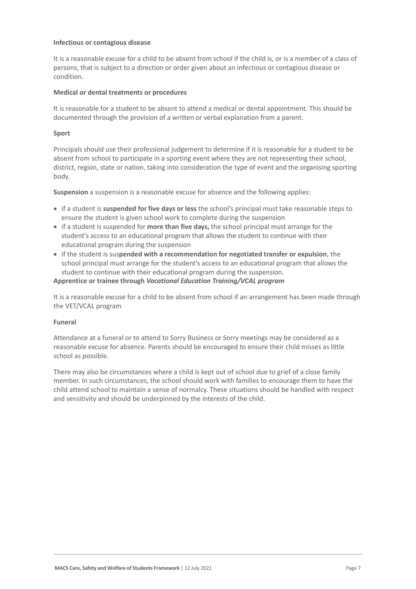#### **Infectious or contagious disease**

It is a reasonable excuse for a child to be absent from school if the child is, or is a member of a class of persons, that is subject to a direction or order given about an infectious or contagious disease or condition.

#### **Medical or dental treatments or procedures**

It is reasonable for a student to be absent to attend a medical or dental appointment. This should be documented through the provision of a written or verbal explanation from a parent.

#### **Sport**

Principals should use their professional judgement to determine if it is reasonable for a student to be absent from school to participate in a sporting event where they are not representing their school, district, region, state or nation, taking into consideration the type of event and the organising sporting body.

**Suspension** a suspension is a reasonable excuse for absence and the following applies:

- if a student is **suspended for five days or less** the school's principal must take reasonable steps to ensure the student is given school work to complete during the suspension
- if a student is suspended for **more than five days,** the school principal must arrange for the student's access to an educational program that allows the student to continue with their educational program during the suspension
- if the student is sus**pended with a recommendation for negotiated transfer or expulsion**, the school principal must arrange for the student's access to an educational program that allows the student to continue with their educational program during the suspension.

#### **Apprentice or trainee through** *Vocational Education Training/VCAL program*

It is a reasonable excuse for a child to be absent from school if an arrangement has been made through the VET/VCAL program

#### **Funeral**

Attendance at a funeral or to attend to Sorry Business or Sorry meetings may be considered as a reasonable excuse for absence. Parents should be encouraged to ensure their child misses as little school as possible.

There may also be circumstances where a child is kept out of school due to grief of a close family member. In such circumstances, the school should work with families to encourage them to have the child attend school to maintain a sense of normalcy. These situations should be handled with respect and sensitivity and should be underpinned by the interests of the child.